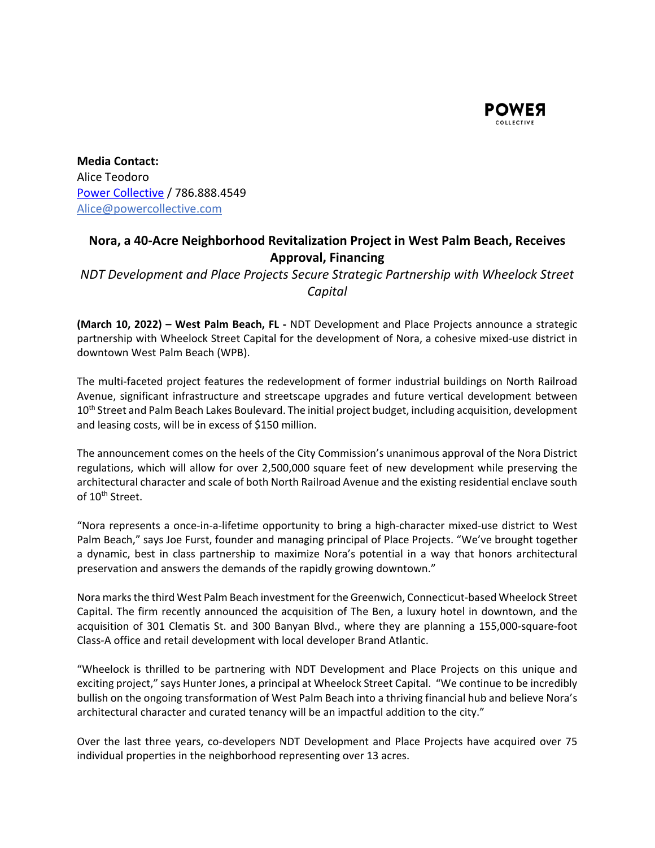

**Media Contact:**  Alice Teodoro Power Collective / 786.888.4549  Alice@powercollective.com 

## **Nora, a 40‐Acre Neighborhood Revitalization Project in West Palm Beach, Receives Approval, Financing**

*NDT Development and Place Projects Secure Strategic Partnership with Wheelock Street Capital* 

**(March 10, 2022) – West Palm Beach, FL** - NDT Development and Place Projects announce a strategic partnership with Wheelock Street Capital for the development of Nora, a cohesive mixed‐use district in downtown West Palm Beach (WPB).

The multi-faceted project features the redevelopment of former industrial buildings on North Railroad Avenue, significant infrastructure and streetscape upgrades and future vertical development between 10<sup>th</sup> Street and Palm Beach Lakes Boulevard. The initial project budget, including acquisition, development and leasing costs, will be in excess of \$150 million.

The announcement comes on the heels of the City Commission's unanimous approval of the Nora District regulations, which will allow for over 2,500,000 square feet of new development while preserving the architectural character and scale of both North Railroad Avenue and the existing residential enclave south of 10<sup>th</sup> Street.

"Nora represents a once‐in‐a‐lifetime opportunity to bring a high‐character mixed‐use district to West Palm Beach," says Joe Furst, founder and managing principal of Place Projects. "We've brought together a dynamic, best in class partnership to maximize Nora's potential in a way that honors architectural preservation and answers the demands of the rapidly growing downtown."

Nora marks the third West Palm Beach investment for the Greenwich, Connecticut‐based Wheelock Street Capital. The firm recently announced the acquisition of The Ben, a luxury hotel in downtown, and the acquisition of 301 Clematis St. and 300 Banyan Blvd., where they are planning a 155,000‐square‐foot Class‐A office and retail development with local developer Brand Atlantic.

"Wheelock is thrilled to be partnering with NDT Development and Place Projects on this unique and exciting project," says Hunter Jones, a principal at Wheelock Street Capital. "We continue to be incredibly bullish on the ongoing transformation of West Palm Beach into a thriving financial hub and believe Nora's architectural character and curated tenancy will be an impactful addition to the city."

Over the last three years, co-developers NDT Development and Place Projects have acquired over 75 individual properties in the neighborhood representing over 13 acres.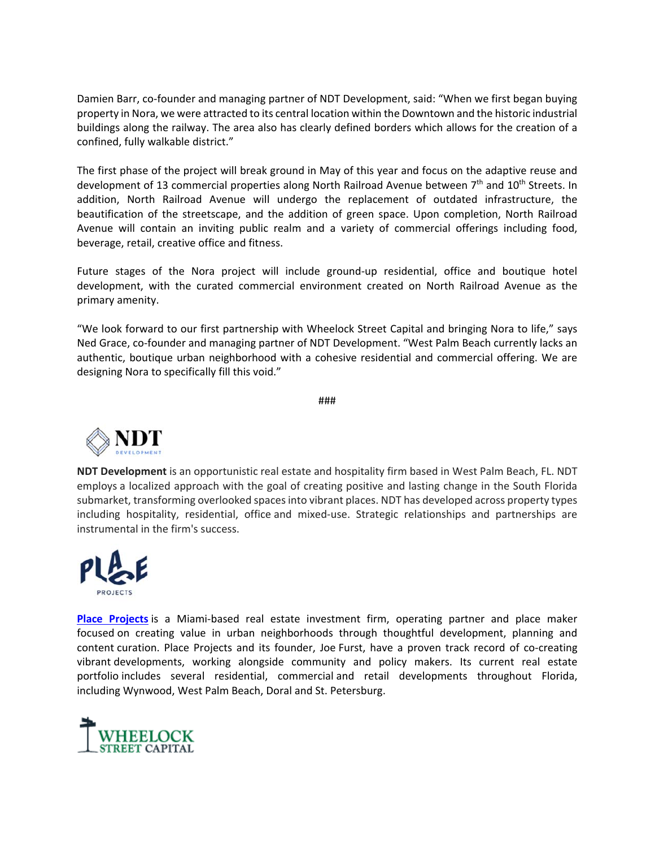Damien Barr, co-founder and managing partner of NDT Development, said: "When we first began buying property in Nora, we were attracted to its central location within the Downtown and the historic industrial buildings along the railway. The area also has clearly defined borders which allows for the creation of a confined, fully walkable district."

The first phase of the project will break ground in May of this year and focus on the adaptive reuse and development of 13 commercial properties along North Railroad Avenue between 7<sup>th</sup> and 10<sup>th</sup> Streets. In addition, North Railroad Avenue will undergo the replacement of outdated infrastructure, the beautification of the streetscape, and the addition of green space. Upon completion, North Railroad Avenue will contain an inviting public realm and a variety of commercial offerings including food, beverage, retail, creative office and fitness.

Future stages of the Nora project will include ground-up residential, office and boutique hotel development, with the curated commercial environment created on North Railroad Avenue as the primary amenity.

"We look forward to our first partnership with Wheelock Street Capital and bringing Nora to life," says Ned Grace, co-founder and managing partner of NDT Development. "West Palm Beach currently lacks an authentic, boutique urban neighborhood with a cohesive residential and commercial offering. We are designing Nora to specifically fill this void."

###



**NDT Development** is an opportunistic real estate and hospitality firm based in West Palm Beach, FL. NDT employs a localized approach with the goal of creating positive and lasting change in the South Florida submarket, transforming overlooked spaces into vibrant places. NDT has developed across property types including hospitality, residential, office and mixed-use. Strategic relationships and partnerships are instrumental in the firm's success.



**Place Projects** is a Miami-based real estate investment firm, operating partner and place maker focused on creating value in urban neighborhoods through thoughtful development, planning and content curation. Place Projects and its founder, Joe Furst, have a proven track record of co-creating vibrant developments, working alongside community and policy makers. Its current real estate portfolio includes several residential, commercial and retail developments throughout Florida, including Wynwood, West Palm Beach, Doral and St. Petersburg.